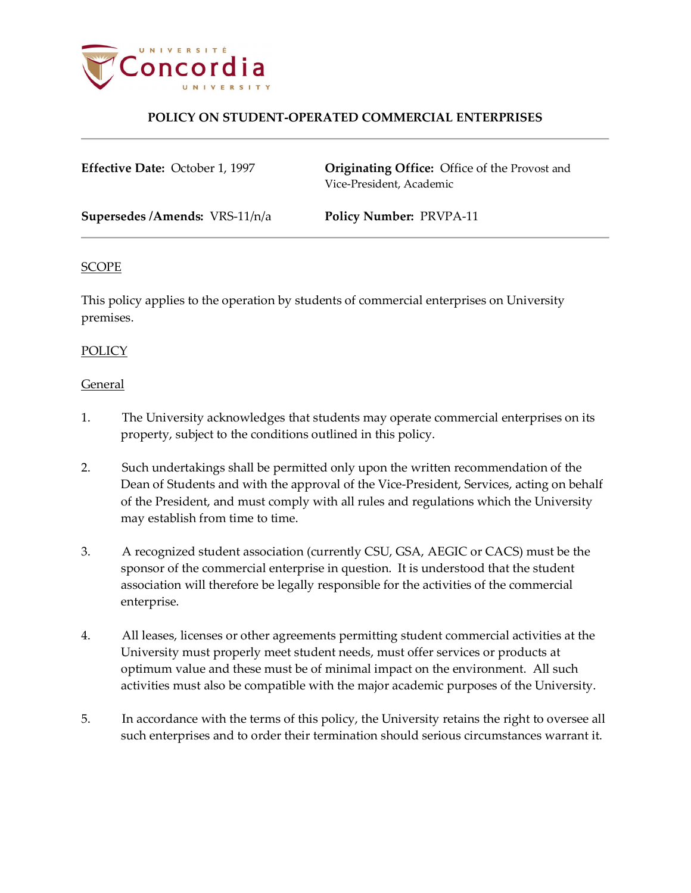

## **POLICY ON STUDENT-OPERATED COMMERCIAL ENTERPRISES**

**Effective Date:** October 1, 1997 **Originating Office:** Office of the Provost and Vice-President, Academic **Supersedes /Amends:** VRS-11/n/a **Policy Number:** PRVPA-11

#### SCOPE

This policy applies to the operation by students of commercial enterprises on University premises.

#### POLICY

#### General

- 1. The University acknowledges that students may operate commercial enterprises on its property, subject to the conditions outlined in this policy.
- 2. Such undertakings shall be permitted only upon the written recommendation of the Dean of Students and with the approval of the Vice-President, Services, acting on behalf of the President, and must comply with all rules and regulations which the University may establish from time to time.
- 3. A recognized student association (currently CSU, GSA, AEGIC or CACS) must be the sponsor of the commercial enterprise in question. It is understood that the student association will therefore be legally responsible for the activities of the commercial enterprise.
- 4. All leases, licenses or other agreements permitting student commercial activities at the University must properly meet student needs, must offer services or products at optimum value and these must be of minimal impact on the environment. All such activities must also be compatible with the major academic purposes of the University.
- 5. In accordance with the terms of this policy, the University retains the right to oversee all such enterprises and to order their termination should serious circumstances warrant it.